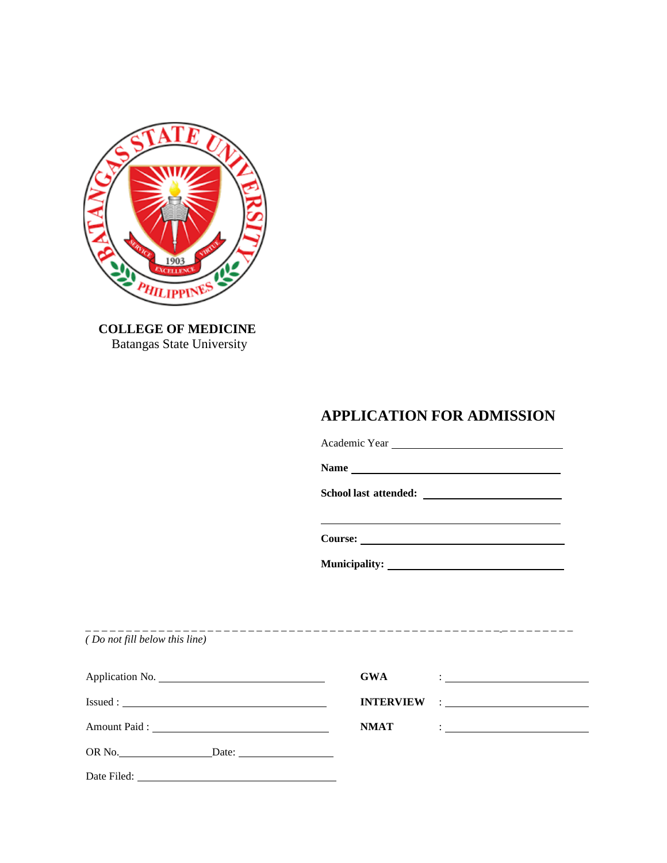

 **COLLEGE OF MEDICINE** Batangas State University

# **APPLICATION FOR ADMISSION**

Academic Year

**Name**

<u> 1989 - Johann Barn, mars eta bainar eta bainar eta baina eta baina eta baina eta baina eta baina eta baina e</u>

**School last attended:** 

**Course:**

**Municipality:**

\_ \_ \_ \_ \_ \_ \_ \_ \_ \_ \_ \_ \_ \_ \_ \_ \_ \_ \_ \_ \_ \_ \_ \_ \_ \_ \_ \_ \_ \_ \_ \_ \_ \_ \_ \_ \_ \_ \_ \_ \_ \_ \_ \_ \_ \_ \_ \_ \_ \_ \_ \_ \_ \_ \_ \_ \_ \_ \_ \_ *( Do not fill below this line)*

|        | <b>GWA</b><br>$\frac{1}{2}$ . The contract of the contract of the contract of the contract of the contract of the contract of the contract of the contract of the contract of the contract of the contract of the contract of the contract of t |
|--------|-------------------------------------------------------------------------------------------------------------------------------------------------------------------------------------------------------------------------------------------------|
|        | <b>INTERVIEW</b><br><u>and the companion of the companion of the companion of the companion of the companion of the companion of the co</u>                                                                                                     |
|        | <b>NMAT</b><br>$\frac{1}{2}$ . The contract of the contract of $\frac{1}{2}$                                                                                                                                                                    |
| OR No. |                                                                                                                                                                                                                                                 |
|        |                                                                                                                                                                                                                                                 |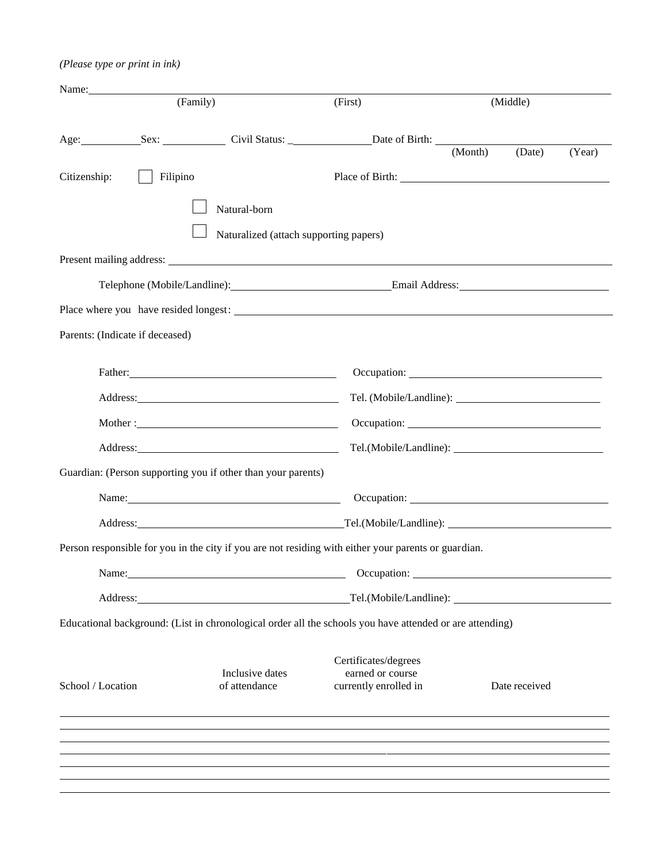## *(Please type or print in ink)*

| Name:             |                                 |                                                                                                                                                                                                                                |                                                                                                          |         |                                                           |        |
|-------------------|---------------------------------|--------------------------------------------------------------------------------------------------------------------------------------------------------------------------------------------------------------------------------|----------------------------------------------------------------------------------------------------------|---------|-----------------------------------------------------------|--------|
|                   | (Family)                        |                                                                                                                                                                                                                                | (First)                                                                                                  |         | (Middle)                                                  |        |
|                   |                                 |                                                                                                                                                                                                                                |                                                                                                          |         |                                                           |        |
|                   |                                 |                                                                                                                                                                                                                                |                                                                                                          | (Month) | (Date)                                                    | (Year) |
| Citizenship:      | Filipino                        |                                                                                                                                                                                                                                |                                                                                                          |         |                                                           |        |
|                   |                                 | Natural-born                                                                                                                                                                                                                   |                                                                                                          |         |                                                           |        |
|                   |                                 | Naturalized (attach supporting papers)                                                                                                                                                                                         |                                                                                                          |         |                                                           |        |
|                   |                                 |                                                                                                                                                                                                                                |                                                                                                          |         |                                                           |        |
|                   |                                 |                                                                                                                                                                                                                                | Telephone (Mobile/Landline): Email Address: Email Address:                                               |         |                                                           |        |
|                   |                                 |                                                                                                                                                                                                                                |                                                                                                          |         |                                                           |        |
|                   | Parents: (Indicate if deceased) |                                                                                                                                                                                                                                |                                                                                                          |         |                                                           |        |
|                   |                                 |                                                                                                                                                                                                                                |                                                                                                          |         |                                                           |        |
|                   |                                 |                                                                                                                                                                                                                                |                                                                                                          |         |                                                           |        |
|                   |                                 |                                                                                                                                                                                                                                |                                                                                                          |         |                                                           |        |
|                   |                                 |                                                                                                                                                                                                                                |                                                                                                          |         |                                                           |        |
|                   |                                 | Address: No. 1998. Address: No. 1998. The Second State of the Second State of the Second State of the Second State of the Second State of the Second State of the Second State of the Second State of the Second State of the  |                                                                                                          |         |                                                           |        |
|                   |                                 | Guardian: (Person supporting you if other than your parents)                                                                                                                                                                   |                                                                                                          |         |                                                           |        |
|                   |                                 | Name: Name and the set of the set of the set of the set of the set of the set of the set of the set of the set of the set of the set of the set of the set of the set of the set of the set of the set of the set of the set o |                                                                                                          |         |                                                           |        |
|                   |                                 |                                                                                                                                                                                                                                |                                                                                                          |         |                                                           |        |
|                   |                                 |                                                                                                                                                                                                                                | Person responsible for you in the city if you are not residing with either your parents or guardian.     |         |                                                           |        |
| Name:             |                                 | <u> 1989 - Johann Stoff, deutscher Stoff, der Stoff, der Stoff, der Stoff, der Stoff, der Stoff, der Stoff, der S</u>                                                                                                          | Occupation:                                                                                              |         | <u> 1980 - John Stein, Amerikaansk politiker (* 1980)</u> |        |
|                   |                                 |                                                                                                                                                                                                                                |                                                                                                          |         |                                                           |        |
|                   |                                 |                                                                                                                                                                                                                                | Educational background: (List in chronological order all the schools you have attended or are attending) |         |                                                           |        |
|                   |                                 |                                                                                                                                                                                                                                |                                                                                                          |         |                                                           |        |
|                   |                                 | Inclusive dates                                                                                                                                                                                                                | Certificates/degrees<br>earned or course                                                                 |         |                                                           |        |
| School / Location |                                 | of attendance                                                                                                                                                                                                                  | currently enrolled in                                                                                    |         | Date received                                             |        |
|                   |                                 |                                                                                                                                                                                                                                |                                                                                                          |         |                                                           |        |
|                   |                                 |                                                                                                                                                                                                                                |                                                                                                          |         |                                                           |        |
|                   |                                 |                                                                                                                                                                                                                                |                                                                                                          |         |                                                           |        |
|                   |                                 |                                                                                                                                                                                                                                |                                                                                                          |         |                                                           |        |
|                   |                                 |                                                                                                                                                                                                                                |                                                                                                          |         |                                                           |        |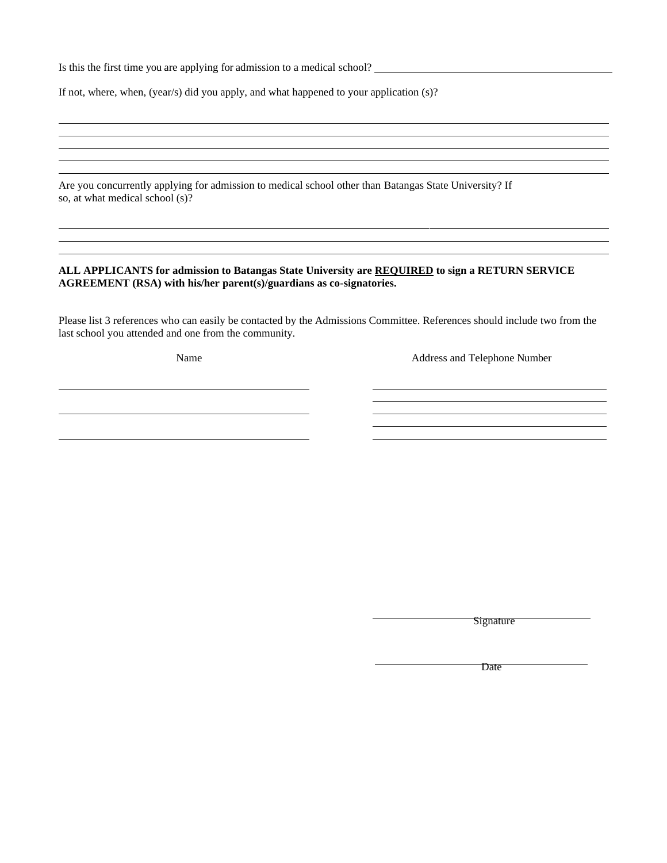Is this the first time you are applying for admission to a medical school?

If not, where, when, (year/s) did you apply, and what happened to your application (s)?

Are you concurrently applying for admission to medical school other than Batangas State University? If so, at what medical school (s)?

#### **ALL APPLICANTS for admission to Batangas State University are REQUIRED to sign a RETURN SERVICE AGREEMENT (RSA) with his/her parent(s)/guardians as co-signatories.**

Please list 3 references who can easily be contacted by the Admissions Committee. References should include two from the last school you attended and one from the community.

and the control of the control of the control of the control of the control of the control of the control of the

Name Address and Telephone Number

<u> 1989 - Johann Barn, mars ann an t-Amhain Aonaich an t-Aonaich an t-Aonaich ann an t-Aonaich ann an t-Aonaich</u>

**Signature** 

Date